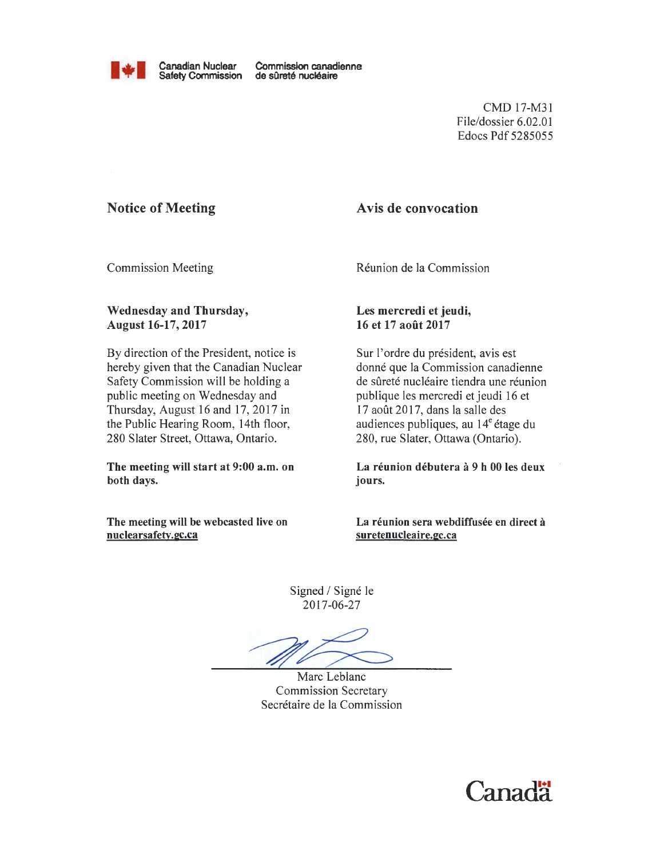

Canadian Nuclear Commission canadienne<br>
Safety Commission de sûreté nucléaire

CMD 17-M31 File/dossier 6.02.01 Edocs Pdf 5285055

## Notice of Meeting

#### Avis de convocation

Commission Meeting

Reunion de la Commission

#### Wednesday and Thursday, August 16-17, 2017

By direction of the President, notice is hereby given that the Canadian Nuclear Safety Commission will be holding a public meeting on Wednesday and Thursday, August 16 and 17, 2017 in the Public Hearing Room, 14th floor, 280 Slater Street, Ottawa, Ontario.

The meeting will start at 9:00 a.m. on both days.

The meeting will be webcasted live on nuclearsafety.gc.ca

Les mercredi et jeudi, 16 et 17 aofit 2017

Sur l'ordre du président, avis est donné que la Commission canadienne de sûreté nucléaire tiendra une réunion publique !es mercredi et jeudi 16 et 17 août 2017, dans la salle des audiences publiques, au  $14^e$  étage du 280, rue Slater, Ottawa (Ontario).

La réunion débutera à 9 h 00 les deux jours.

La réunion sera webdiffusée en direct à suretenucleaire.gc.ca

Signed / Signé le 2017-06-27

Marc Leblanc Commission Secretary Secretaire de la Commission

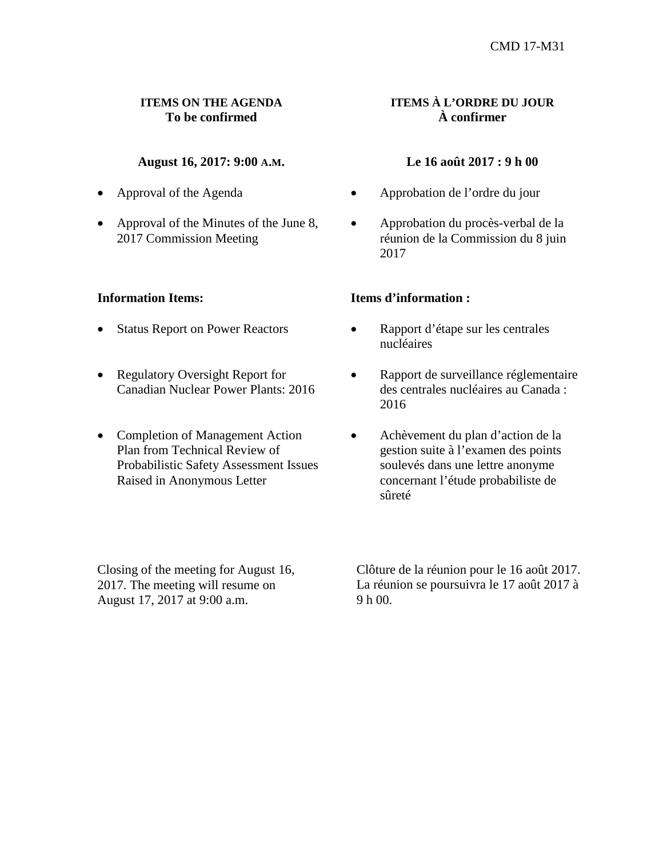## **ITEMS ON THE AGENDA To be confirmed**

# **August 16, 2017: 9:00 A.M.**

- Approval of the Agenda
- Approval of the Minutes of the June 8, 2017 Commission Meeting

#### **Information Items:**

- Status Report on Power Reactors
- Regulatory Oversight Report for Canadian Nuclear Power Plants: 2016
- Completion of Management Action Plan from Technical Review of Probabilistic Safety Assessment Issues Raised in Anonymous Letter

# **ITEMS À L'ORDRE DU JOUR À confirmer**

## **Le 16 août 2017 : 9 h 00**

- • Approbation de l'ordre du jour
- • Approbation du procès-verbal de la réunion de la Commission du 8 juin 2017

#### **Items d'information :**

- Rapport d'étape sur les centrales nucléaires
- • Rapport de surveillance réglementaire des centrales nucléaires au Canada : 2016
- • Achèvement du plan d'action de la gestion suite à l'examen des points soulevés dans une lettre anonyme concernant l'étude probabiliste de sûreté

Closing of the meeting for August 16, 2017. The meeting will resume on August 17, 2017 at 9:00 a.m.

Clôture de la réunion pour le 16 août 2017. La réunion se poursuivra le 17 août 2017 à 9 h 00.